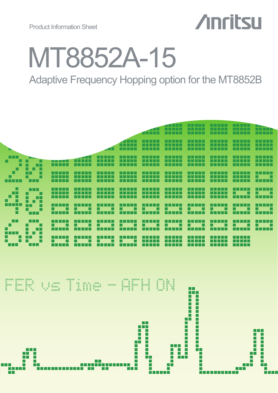

# MT8852A-15

Adaptive Frequency Hopping option for the MT8852B

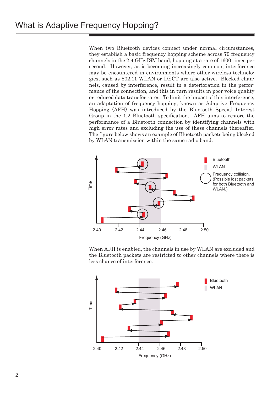When two Bluetooth devices connect under normal circumstances, they establish a basic frequency hopping scheme across 79 frequency channels in the 2.4 GHz ISM band, hopping at a rate of 1600 times per second. However, as is becoming increasingly common, interference may be encountered in environments where other wireless technologies, such as 802.11 WLAN or DECT are also active. Blocked channels, caused by interference, result in a deterioration in the performance of the connection, and this in turn results in poor voice quality or reduced data transfer rates. To limit the impact of this interference, an adaptation of frequency hopping, known as Adaptive Frequency Hopping (AFH) was introduced by the Bluetooth Special Interest Group in the 1.2 Bluetooth specification. AFH aims to restore the performance of a Bluetooth connection by identifying channels with high error rates and excluding the use of these channels thereafter. The figure below shows an example of Bluetooth packets being blocked by WLAN transmission within the same radio band.



When AFH is enabled, the channels in use by WLAN are excluded and the Bluetooth packets are restricted to other channels where there is less chance of interference.

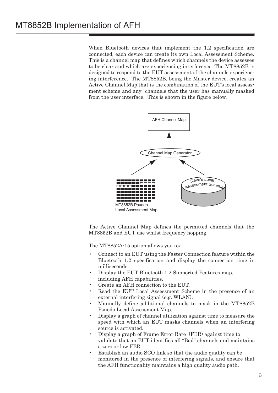When Bluetooth devices that implement the 1.2 specification are connected, each device can create its own Local Assessment Scheme. This is a channel map that defines which channels the device assesses to be clear and which are experiencing interference. The MT8852B is designed to respond to the EUT assessment of the channels experiencing interference. The MT8852B, being the Master device, creates an Active Channel Map that is the combination of the EUT's local assessment scheme and any channels that the user has manually masked from the user interface. This is shown in the figure below.



The Active Channel Map defines the permitted channels that the MT8852B and EUT use whilst frequency hopping.

The MT8852A-15 option allows you to:-

- Connect to an EUT using the Faster Connection feature within the Bluetooth 1.2 specification and display the connection time in milliseconds.
- Display the EUT Bluetooth 1.2 Supported Features map, including AFH capabilities.
- Create an AFH connection to the EUT.
- Read the EUT Local Assessment Scheme in the presence of an external interfering signal (e.g. WLAN).
- Manually define additional channels to mask in the MT8852B Psuedo Local Assessment Map.
- Display a graph of channel utilization against time to measure the speed with which an EUT masks channels when an interfering source is activated.
- Display a graph of Frame Error Rate (FER) against time to validate that an EUT identifies all "Bad" channels and maintains a zero or low FER.
- Establish an audio SCO link so that the audio quality can be monitored in the presence of interfering signals, and ensure that the AFH functionality maintains a high quality audio path.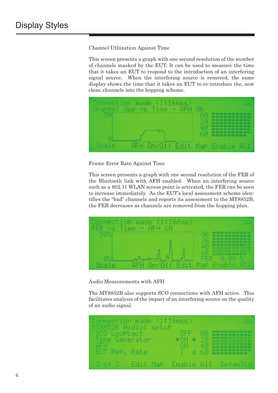Channel Utliization Against Time

This screen presents a graph with one second resolution of the number of channels masked by the EUT. It can be used to measure the time that it takes an EUT to respond to the introduction of an interfering signal source. When the interfering source is removed, the same display shows the time that it takes an EUT to re-introduce the, now clear, channels into the hopping scheme.



Frame Error Rate Against Time

This screen presents a graph with one second resolution of the FER of the Bluetooth link with AFH enabled. When an interfering source such as a 802.11 WLAN access point is activated, the FER can be seen to increase immediately. As the EUT's local assessment scheme identifies the "bad" channels and reports its assessment to the MT8852B, the FER decreases as channels are removed from the hopping plan.



Audio Measurements with AFH

The MT8852B also supports SCO connections with AFH active. This facilitates analysis of the impact of an interfering source on the quality of an audio signal.

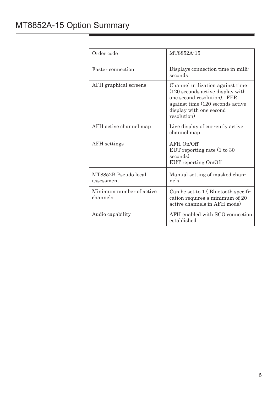### MT8852A-15 Option Summary

| Order code                           | MT8852A-15                                                                                                                                                                        |
|--------------------------------------|-----------------------------------------------------------------------------------------------------------------------------------------------------------------------------------|
| Faster connection                    | Displays connection time in milli-<br>seconds                                                                                                                                     |
| AFH graphical screens                | Channel utilization against time<br>(120 seconds active display with<br>one second resolution). FER<br>against time (120 seconds active<br>display with one second<br>resolution) |
| AFH active channel map               | Live display of currently active<br>channel map                                                                                                                                   |
| <b>AFH</b> settings                  | AFH On/Off<br>EUT reporting rate $(1 \text{ to } 30)$<br>seconds)<br>EUT reporting On/Off                                                                                         |
| MT8852B Pseudo local<br>assessment   | Manual setting of masked chan-<br>nels                                                                                                                                            |
| Minimum number of active<br>channels | Can be set to 1 (Bluetooth specifi-<br>cation requires a minimum of 20<br>active channels in AFH mode)                                                                            |
| Audio capability                     | AFH enabled with SCO connection<br>established.                                                                                                                                   |